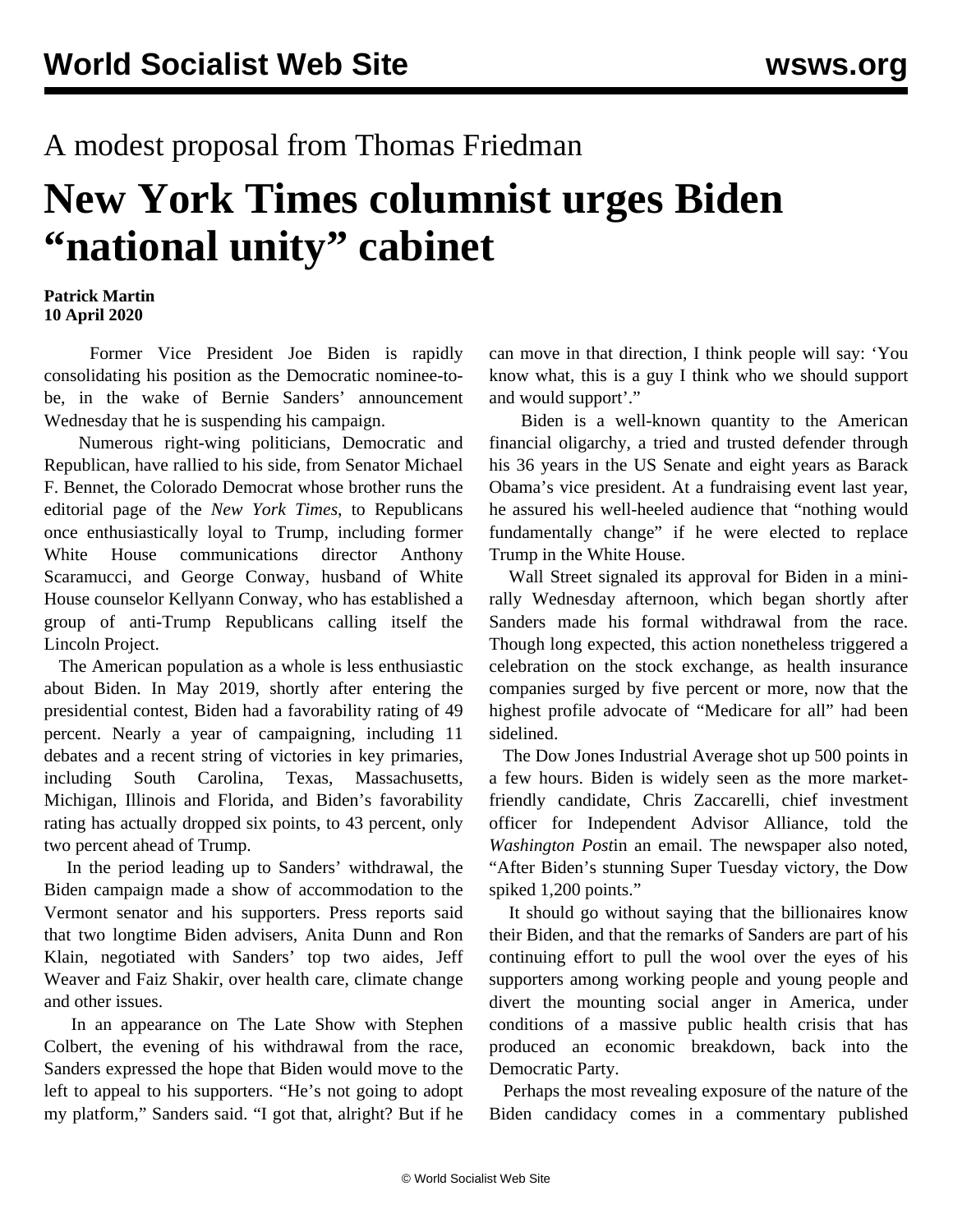## A modest proposal from Thomas Friedman

## **New York Times columnist urges Biden "national unity" cabinet**

## **Patrick Martin 10 April 2020**

 Former Vice President Joe Biden is rapidly consolidating his position as the Democratic nominee-tobe, in the wake of Bernie Sanders' announcement Wednesday that he is suspending his campaign.

 Numerous right-wing politicians, Democratic and Republican, have rallied to his side, from Senator Michael F. Bennet, the Colorado Democrat whose brother runs the editorial page of the *New York Times*, to Republicans once enthusiastically loyal to Trump, including former White House communications director Anthony Scaramucci, and George Conway, husband of White House counselor Kellyann Conway, who has established a group of anti-Trump Republicans calling itself the Lincoln Project.

 The American population as a whole is less enthusiastic about Biden. In May 2019, shortly after entering the presidential contest, Biden had a favorability rating of 49 percent. Nearly a year of campaigning, including 11 debates and a recent string of victories in key primaries, including South Carolina, Texas, Massachusetts, Michigan, Illinois and Florida, and Biden's favorability rating has actually dropped six points, to 43 percent, only two percent ahead of Trump.

 In the period leading up to Sanders' withdrawal, the Biden campaign made a show of accommodation to the Vermont senator and his supporters. Press reports said that two longtime Biden advisers, Anita Dunn and Ron Klain, negotiated with Sanders' top two aides, Jeff Weaver and Faiz Shakir, over health care, climate change and other issues.

 In an appearance on The Late Show with Stephen Colbert, the evening of his withdrawal from the race, Sanders expressed the hope that Biden would move to the left to appeal to his supporters. "He's not going to adopt my platform," Sanders said. "I got that, alright? But if he can move in that direction, I think people will say: 'You know what, this is a guy I think who we should support and would support'."

 Biden is a well-known quantity to the American financial oligarchy, a tried and trusted defender through his 36 years in the US Senate and eight years as Barack Obama's vice president. At a fundraising event last year, he assured his well-heeled audience that "nothing would fundamentally change" if he were elected to replace Trump in the White House.

 Wall Street signaled its approval for Biden in a minirally Wednesday afternoon, which began shortly after Sanders made his formal withdrawal from the race. Though long expected, this action nonetheless triggered a celebration on the stock exchange, as health insurance companies surged by five percent or more, now that the highest profile advocate of "Medicare for all" had been sidelined.

 The Dow Jones Industrial Average shot up 500 points in a few hours. Biden is widely seen as the more marketfriendly candidate, Chris Zaccarelli, chief investment officer for Independent Advisor Alliance, told the *Washington Post*in an email. The newspaper also noted, "After Biden's stunning Super Tuesday victory, the Dow spiked 1,200 points."

 It should go without saying that the billionaires know their Biden, and that the remarks of Sanders are part of his continuing effort to pull the wool over the eyes of his supporters among working people and young people and divert the mounting social anger in America, under conditions of a massive public health crisis that has produced an economic breakdown, back into the Democratic Party.

 Perhaps the most revealing exposure of the nature of the Biden candidacy comes in a commentary published